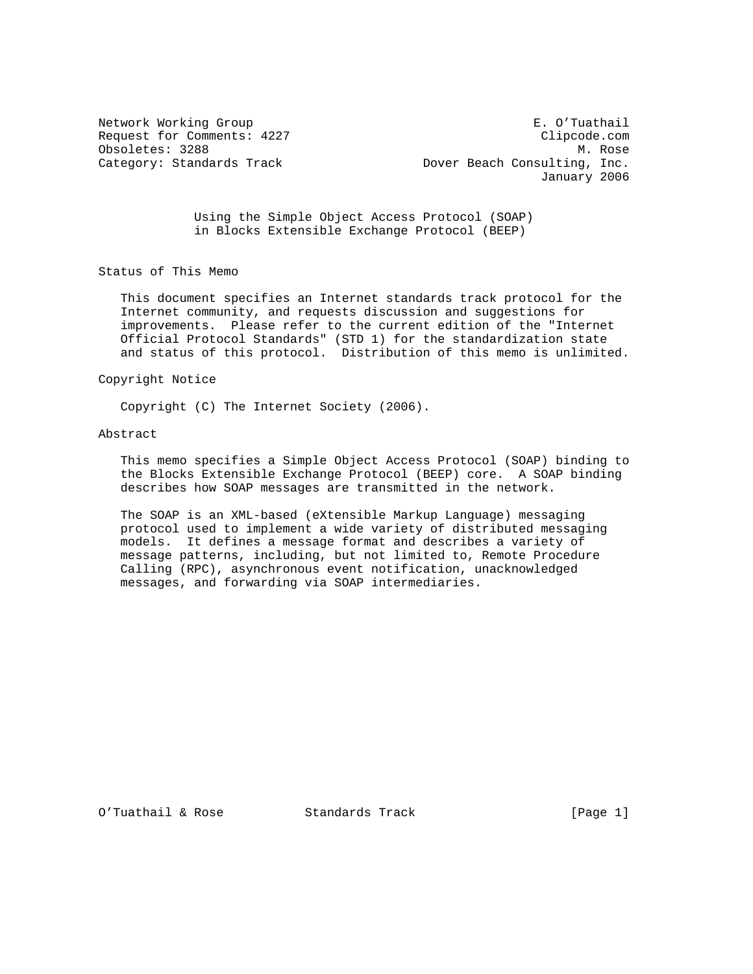Network Working Group **E. O'Tuathail** Request for Comments: 4227 Clipcode.com Obsoletes: 3288 M. Rose Category: Standards Track Dover Beach Consulting, Inc. January 2006

> Using the Simple Object Access Protocol (SOAP) in Blocks Extensible Exchange Protocol (BEEP)

Status of This Memo

 This document specifies an Internet standards track protocol for the Internet community, and requests discussion and suggestions for improvements. Please refer to the current edition of the "Internet Official Protocol Standards" (STD 1) for the standardization state and status of this protocol. Distribution of this memo is unlimited.

### Copyright Notice

Copyright (C) The Internet Society (2006).

#### Abstract

 This memo specifies a Simple Object Access Protocol (SOAP) binding to the Blocks Extensible Exchange Protocol (BEEP) core. A SOAP binding describes how SOAP messages are transmitted in the network.

 The SOAP is an XML-based (eXtensible Markup Language) messaging protocol used to implement a wide variety of distributed messaging models. It defines a message format and describes a variety of message patterns, including, but not limited to, Remote Procedure Calling (RPC), asynchronous event notification, unacknowledged messages, and forwarding via SOAP intermediaries.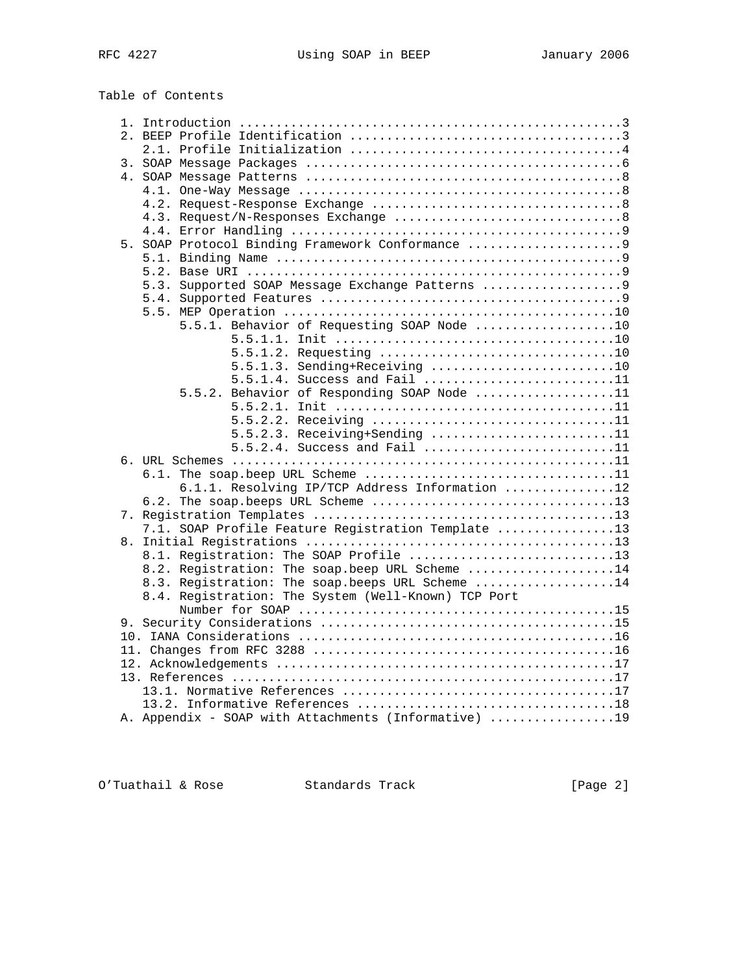Table of Contents

|  | 5. SOAP Protocol Binding Framework Conformance 9     |  |
|--|------------------------------------------------------|--|
|  |                                                      |  |
|  |                                                      |  |
|  | 5.3. Supported SOAP Message Exchange Patterns  9     |  |
|  |                                                      |  |
|  |                                                      |  |
|  | 5.5.1. Behavior of Requesting SOAP Node 10           |  |
|  |                                                      |  |
|  |                                                      |  |
|  | $5.5.1.3.$ Sending+Receiving 10                      |  |
|  | 5.5.1.4. Success and Fail 11                         |  |
|  | 5.5.2. Behavior of Responding SOAP Node 11           |  |
|  | 5.5.2.2. Receiving 11                                |  |
|  | 5.5.2.3. Receiving+Sending 11                        |  |
|  | 5.5.2.4. Success and Fail 11                         |  |
|  |                                                      |  |
|  |                                                      |  |
|  | 6.1.1. Resolving IP/TCP Address Information 12       |  |
|  |                                                      |  |
|  |                                                      |  |
|  | 7.1. SOAP Profile Feature Registration Template 13   |  |
|  |                                                      |  |
|  | 8.1. Registration: The SOAP Profile 13               |  |
|  | 8.2. Registration: The soap.beep URL Scheme 14       |  |
|  | 8.3. Registration: The soap.beeps URL Scheme 14      |  |
|  | 8.4. Registration: The System (Well-Known) TCP Port  |  |
|  |                                                      |  |
|  |                                                      |  |
|  |                                                      |  |
|  |                                                      |  |
|  |                                                      |  |
|  |                                                      |  |
|  |                                                      |  |
|  |                                                      |  |
|  | A. Appendix - SOAP with Attachments (Informative) 19 |  |

O'Tuathail & Rose Standards Track [Page 2]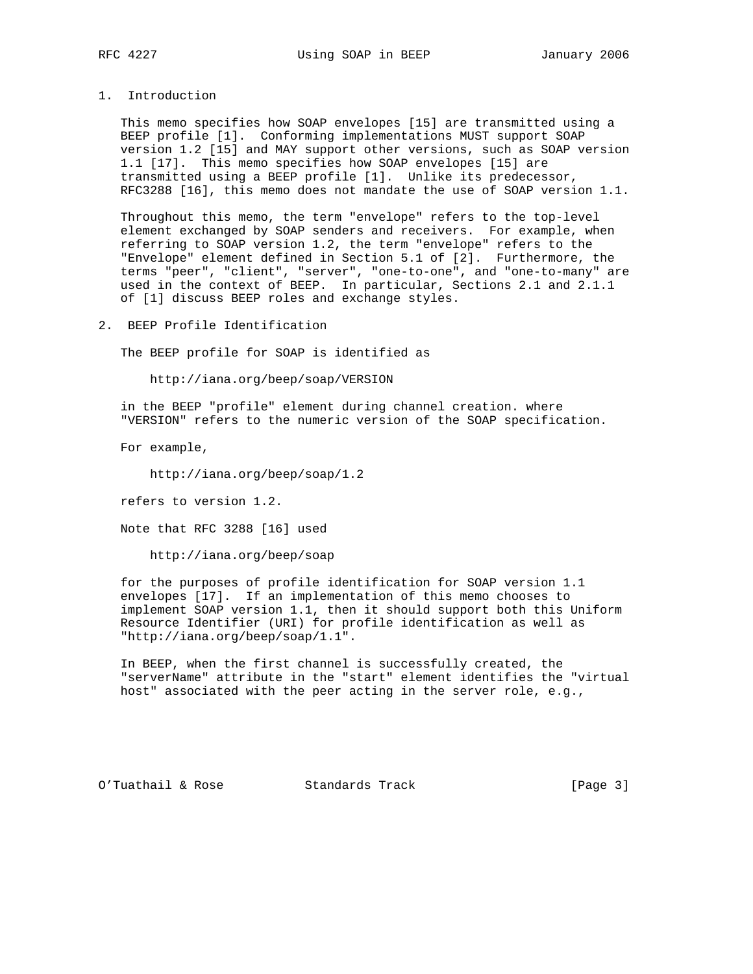1. Introduction

 This memo specifies how SOAP envelopes [15] are transmitted using a BEEP profile [1]. Conforming implementations MUST support SOAP version 1.2 [15] and MAY support other versions, such as SOAP version 1.1 [17]. This memo specifies how SOAP envelopes [15] are transmitted using a BEEP profile [1]. Unlike its predecessor, RFC3288 [16], this memo does not mandate the use of SOAP version 1.1.

 Throughout this memo, the term "envelope" refers to the top-level element exchanged by SOAP senders and receivers. For example, when referring to SOAP version 1.2, the term "envelope" refers to the "Envelope" element defined in Section 5.1 of [2]. Furthermore, the terms "peer", "client", "server", "one-to-one", and "one-to-many" are used in the context of BEEP. In particular, Sections 2.1 and 2.1.1 of [1] discuss BEEP roles and exchange styles.

2. BEEP Profile Identification

The BEEP profile for SOAP is identified as

http://iana.org/beep/soap/VERSION

 in the BEEP "profile" element during channel creation. where "VERSION" refers to the numeric version of the SOAP specification.

For example,

http://iana.org/beep/soap/1.2

refers to version 1.2.

Note that RFC 3288 [16] used

http://iana.org/beep/soap

 for the purposes of profile identification for SOAP version 1.1 envelopes [17]. If an implementation of this memo chooses to implement SOAP version 1.1, then it should support both this Uniform Resource Identifier (URI) for profile identification as well as "http://iana.org/beep/soap/1.1".

 In BEEP, when the first channel is successfully created, the "serverName" attribute in the "start" element identifies the "virtual host" associated with the peer acting in the server role, e.g.,

O'Tuathail & Rose Standards Track [Page 3]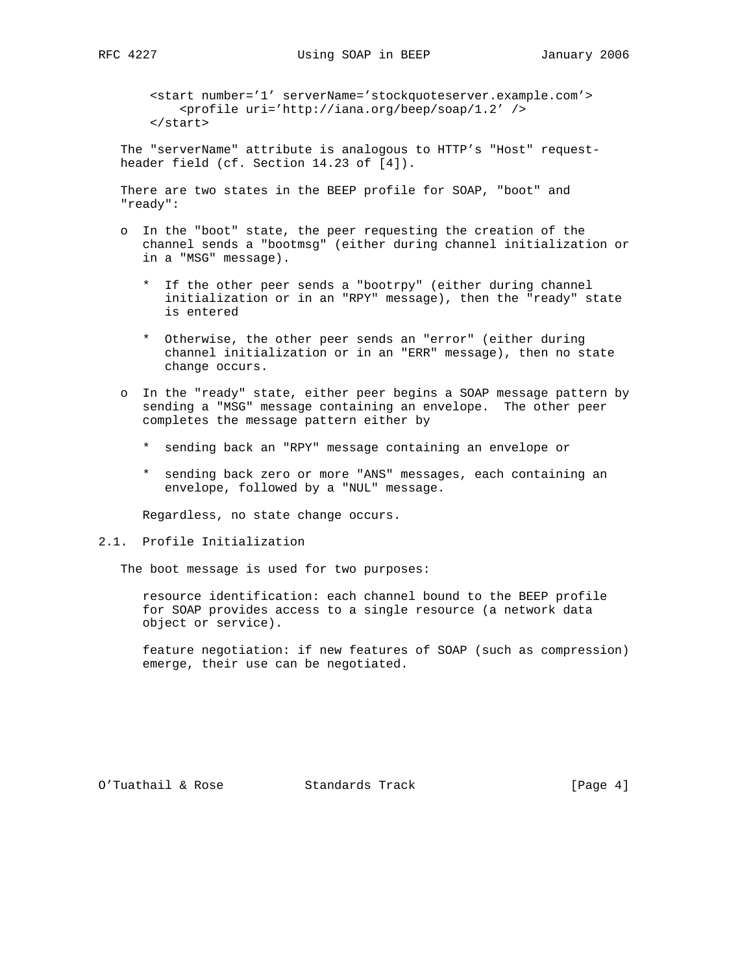<start number='1' serverName='stockquoteserver.example.com'> <profile uri='http://iana.org/beep/soap/1.2' /> </start>

 The "serverName" attribute is analogous to HTTP's "Host" request header field (cf. Section 14.23 of [4]).

 There are two states in the BEEP profile for SOAP, "boot" and "ready":

- o In the "boot" state, the peer requesting the creation of the channel sends a "bootmsg" (either during channel initialization or in a "MSG" message).
	- \* If the other peer sends a "bootrpy" (either during channel initialization or in an "RPY" message), then the "ready" state is entered
	- \* Otherwise, the other peer sends an "error" (either during channel initialization or in an "ERR" message), then no state change occurs.
- o In the "ready" state, either peer begins a SOAP message pattern by sending a "MSG" message containing an envelope. The other peer completes the message pattern either by
	- \* sending back an "RPY" message containing an envelope or
	- \* sending back zero or more "ANS" messages, each containing an envelope, followed by a "NUL" message.

Regardless, no state change occurs.

### 2.1. Profile Initialization

The boot message is used for two purposes:

 resource identification: each channel bound to the BEEP profile for SOAP provides access to a single resource (a network data object or service).

 feature negotiation: if new features of SOAP (such as compression) emerge, their use can be negotiated.

O'Tuathail & Rose Standards Track [Page 4]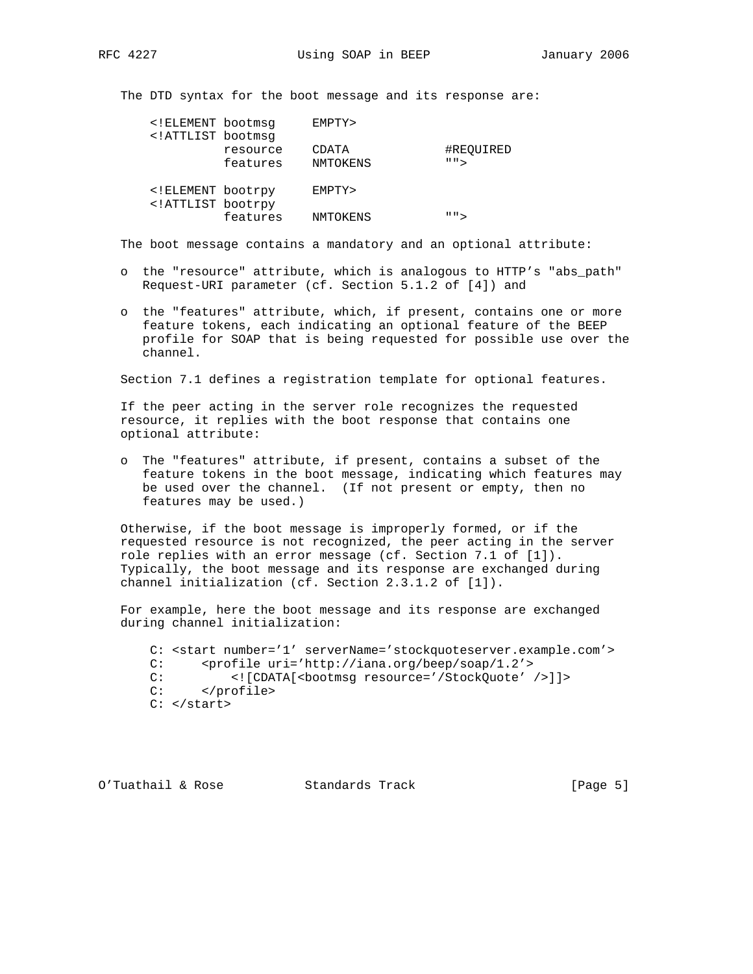The DTD syntax for the boot message and its response are:

| ELEMENT bootmsq<br ATTLIST bootmsg</th <th></th> <th>EMPTY&gt;</th> <th></th> |                      | EMPTY>            |                         |
|-------------------------------------------------------------------------------|----------------------|-------------------|-------------------------|
|                                                                               | resource<br>features | CDATA<br>NMTOKENS | #REQUIRED<br>" "        |
| ELEMENT bootrpy<br ATTLIST bootrpy</td <td></td> <td>EMPTY&gt;</td> <td></td> |                      | EMPTY>            |                         |
|                                                                               | features             | NMTOKENS          | $\mathsf{H} \mathsf{H}$ |

The boot message contains a mandatory and an optional attribute:

- o the "resource" attribute, which is analogous to HTTP's "abs\_path" Request-URI parameter (cf. Section 5.1.2 of [4]) and
- o the "features" attribute, which, if present, contains one or more feature tokens, each indicating an optional feature of the BEEP profile for SOAP that is being requested for possible use over the channel.

Section 7.1 defines a registration template for optional features.

 If the peer acting in the server role recognizes the requested resource, it replies with the boot response that contains one optional attribute:

 o The "features" attribute, if present, contains a subset of the feature tokens in the boot message, indicating which features may be used over the channel. (If not present or empty, then no features may be used.)

 Otherwise, if the boot message is improperly formed, or if the requested resource is not recognized, the peer acting in the server role replies with an error message (cf. Section 7.1 of [1]). Typically, the boot message and its response are exchanged during channel initialization (cf. Section 2.3.1.2 of [1]).

 For example, here the boot message and its response are exchanged during channel initialization:

 C: <start number='1' serverName='stockquoteserver.example.com'> C: <profile uri='http://iana.org/beep/soap/1.2'> C: <! [CDATA[<br/>bootmsg resource='/StockQuote' />]]> C: </profile> C: </start>

O'Tuathail & Rose Standards Track [Page 5]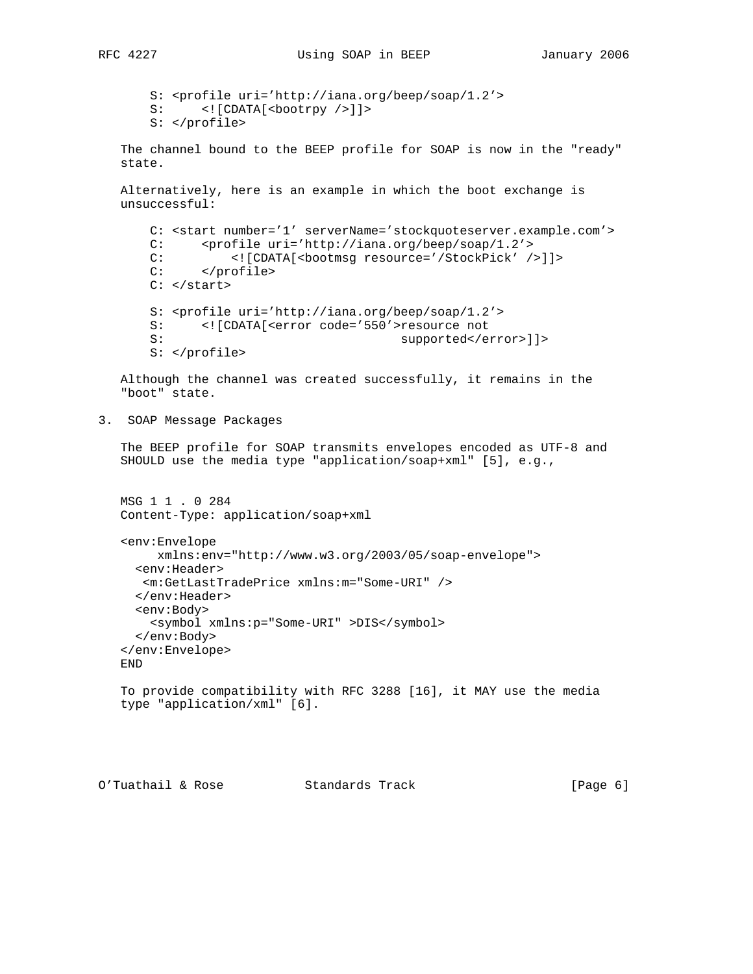S: <profile uri='http://iana.org/beep/soap/1.2'> S: <! [CDATA[<br/>bootrpy />]]> S: </profile>

 The channel bound to the BEEP profile for SOAP is now in the "ready" state.

 Alternatively, here is an example in which the boot exchange is unsuccessful:

```
 C: <start number='1' serverName='stockquoteserver.example.com'>
 C: <profile uri='http://iana.org/beep/soap/1.2'>
C: <! [CDATA[<bootmsg resource='/StockPick' />]]>
 C: </profile>
C: </start>
 S: <profile uri='http://iana.org/beep/soap/1.2'>
 S: <![CDATA[<error code='550'>resource not
S: supported</error>]]>
 S: </profile>
```
 Although the channel was created successfully, it remains in the "boot" state.

3. SOAP Message Packages

 The BEEP profile for SOAP transmits envelopes encoded as UTF-8 and SHOULD use the media type "application/soap+xml" [5], e.g.,

```
 MSG 1 1 . 0 284
 Content-Type: application/soap+xml
```

```
 <env:Envelope
      xmlns:env="http://www.w3.org/2003/05/soap-envelope">
   <env:Header>
    <m:GetLastTradePrice xmlns:m="Some-URI" />
   </env:Header>
   <env:Body>
     <symbol xmlns:p="Some-URI" >DIS</symbol>
   </env:Body>
 </env:Envelope>
 END
 To provide compatibility with RFC 3288 [16], it MAY use the media
```

```
 type "application/xml" [6].
```

```
O'Tuathail & Rose Standards Track (Page 6)
```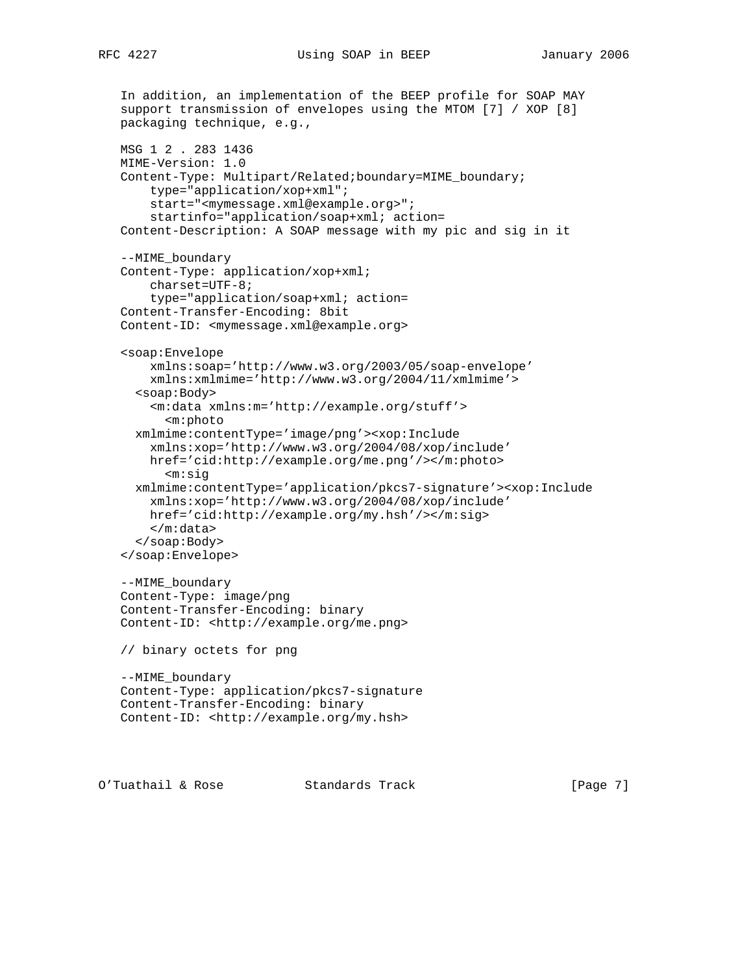```
 In addition, an implementation of the BEEP profile for SOAP MAY
 support transmission of envelopes using the MTOM [7] / XOP [8]
 packaging technique, e.g.,
 MSG 1 2 . 283 1436
 MIME-Version: 1.0
 Content-Type: Multipart/Related;boundary=MIME_boundary;
     type="application/xop+xml";
     start="<mymessage.xml@example.org>";
     startinfo="application/soap+xml; action=
 Content-Description: A SOAP message with my pic and sig in it
 --MIME_boundary
 Content-Type: application/xop+xml;
     charset=UTF-8;
     type="application/soap+xml; action=
 Content-Transfer-Encoding: 8bit
 Content-ID: <mymessage.xml@example.org>
 <soap:Envelope
     xmlns:soap='http://www.w3.org/2003/05/soap-envelope'
     xmlns:xmlmime='http://www.w3.org/2004/11/xmlmime'>
   <soap:Body>
     <m:data xmlns:m='http://example.org/stuff'>
       <m:photo
   xmlmime:contentType='image/png'><xop:Include
     xmlns:xop='http://www.w3.org/2004/08/xop/include'
     href='cid:http://example.org/me.png'/></m:photo>
       <m:sig
   xmlmime:contentType='application/pkcs7-signature'><xop:Include
     xmlns:xop='http://www.w3.org/2004/08/xop/include'
     href='cid:http://example.org/my.hsh'/></m:sig>
     </m:data>
   </soap:Body>
 </soap:Envelope>
 --MIME_boundary
 Content-Type: image/png
 Content-Transfer-Encoding: binary
 Content-ID: <http://example.org/me.png>
 // binary octets for png
 --MIME_boundary
 Content-Type: application/pkcs7-signature
 Content-Transfer-Encoding: binary
 Content-ID: <http://example.org/my.hsh>
```
O'Tuathail & Rose Standards Track [Page 7]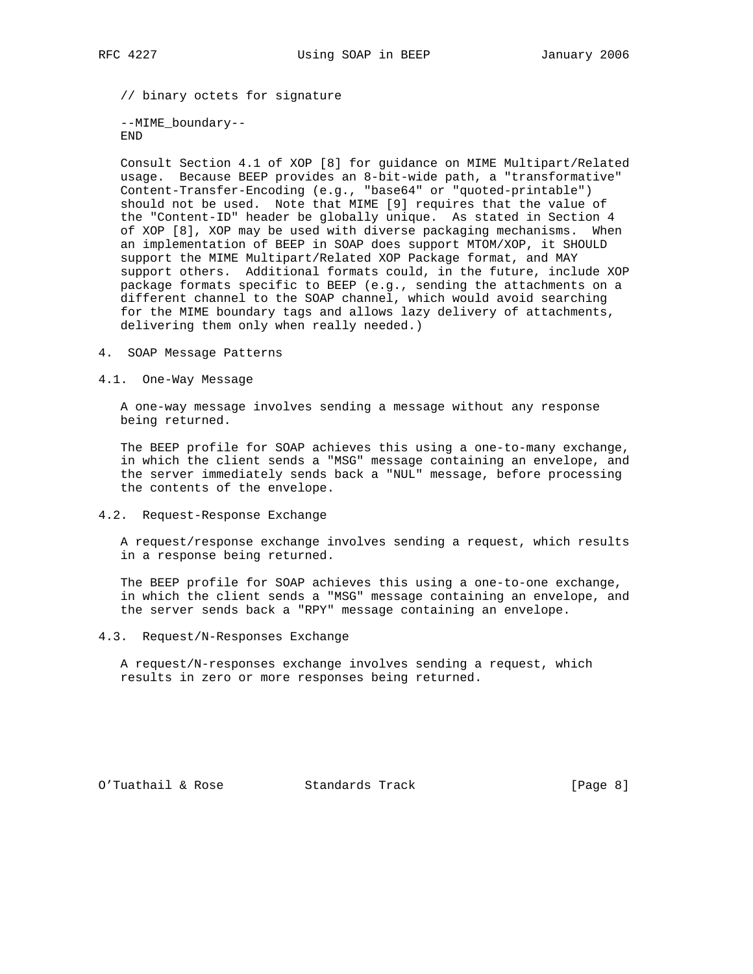// binary octets for signature

 --MIME\_boundary-- END

 Consult Section 4.1 of XOP [8] for guidance on MIME Multipart/Related usage. Because BEEP provides an 8-bit-wide path, a "transformative" Content-Transfer-Encoding (e.g., "base64" or "quoted-printable") should not be used. Note that MIME [9] requires that the value of the "Content-ID" header be globally unique. As stated in Section 4 of XOP [8], XOP may be used with diverse packaging mechanisms. When an implementation of BEEP in SOAP does support MTOM/XOP, it SHOULD support the MIME Multipart/Related XOP Package format, and MAY support others. Additional formats could, in the future, include XOP package formats specific to BEEP (e.g., sending the attachments on a different channel to the SOAP channel, which would avoid searching for the MIME boundary tags and allows lazy delivery of attachments, delivering them only when really needed.)

- 4. SOAP Message Patterns
- 4.1. One-Way Message

 A one-way message involves sending a message without any response being returned.

 The BEEP profile for SOAP achieves this using a one-to-many exchange, in which the client sends a "MSG" message containing an envelope, and the server immediately sends back a "NUL" message, before processing the contents of the envelope.

4.2. Request-Response Exchange

 A request/response exchange involves sending a request, which results in a response being returned.

 The BEEP profile for SOAP achieves this using a one-to-one exchange, in which the client sends a "MSG" message containing an envelope, and the server sends back a "RPY" message containing an envelope.

4.3. Request/N-Responses Exchange

 A request/N-responses exchange involves sending a request, which results in zero or more responses being returned.

O'Tuathail & Rose Standards Track [Page 8]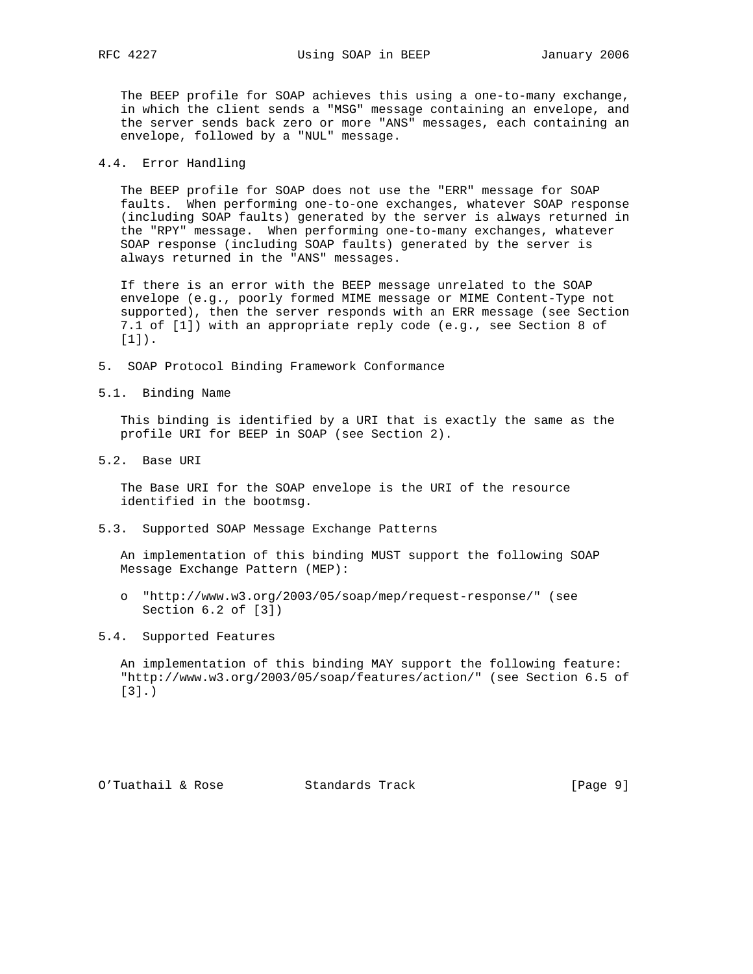The BEEP profile for SOAP achieves this using a one-to-many exchange, in which the client sends a "MSG" message containing an envelope, and the server sends back zero or more "ANS" messages, each containing an envelope, followed by a "NUL" message.

### 4.4. Error Handling

 The BEEP profile for SOAP does not use the "ERR" message for SOAP faults. When performing one-to-one exchanges, whatever SOAP response (including SOAP faults) generated by the server is always returned in the "RPY" message. When performing one-to-many exchanges, whatever SOAP response (including SOAP faults) generated by the server is always returned in the "ANS" messages.

 If there is an error with the BEEP message unrelated to the SOAP envelope (e.g., poorly formed MIME message or MIME Content-Type not supported), then the server responds with an ERR message (see Section 7.1 of [1]) with an appropriate reply code (e.g., see Section 8 of [1]).

- 5. SOAP Protocol Binding Framework Conformance
- 5.1. Binding Name

 This binding is identified by a URI that is exactly the same as the profile URI for BEEP in SOAP (see Section 2).

5.2. Base URI

 The Base URI for the SOAP envelope is the URI of the resource identified in the bootmsg.

5.3. Supported SOAP Message Exchange Patterns

 An implementation of this binding MUST support the following SOAP Message Exchange Pattern (MEP):

- o "http://www.w3.org/2003/05/soap/mep/request-response/" (see Section 6.2 of [3])
- 5.4. Supported Features

 An implementation of this binding MAY support the following feature: "http://www.w3.org/2003/05/soap/features/action/" (see Section 6.5 of [3].)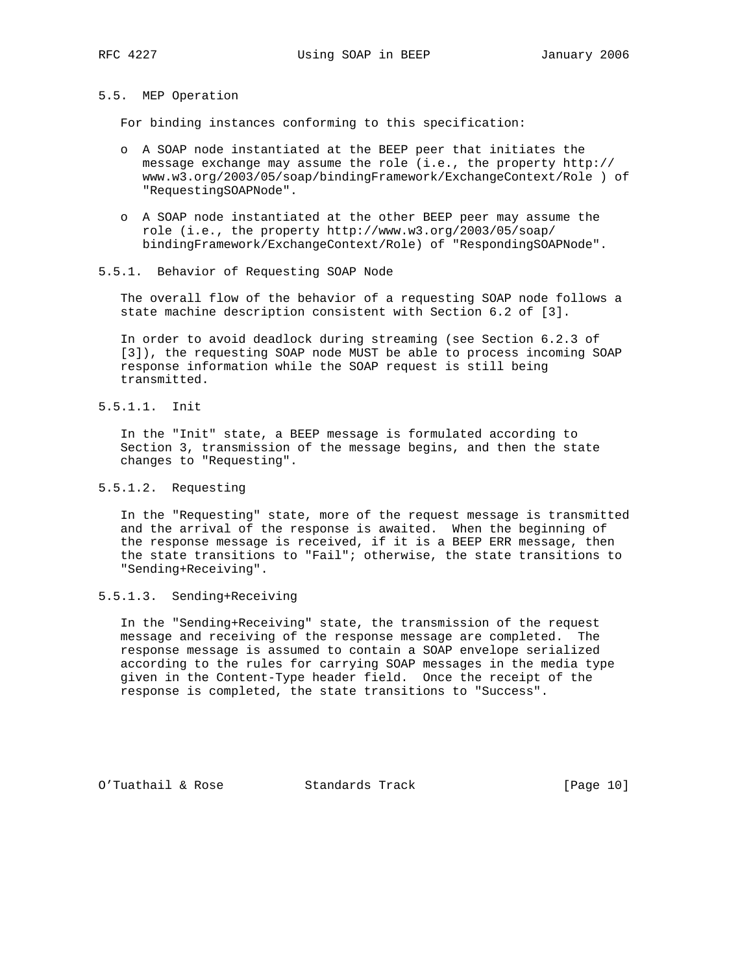5.5. MEP Operation

For binding instances conforming to this specification:

- o A SOAP node instantiated at the BEEP peer that initiates the message exchange may assume the role (i.e., the property http:// www.w3.org/2003/05/soap/bindingFramework/ExchangeContext/Role ) of "RequestingSOAPNode".
- o A SOAP node instantiated at the other BEEP peer may assume the role (i.e., the property http://www.w3.org/2003/05/soap/ bindingFramework/ExchangeContext/Role) of "RespondingSOAPNode".
- 5.5.1. Behavior of Requesting SOAP Node

 The overall flow of the behavior of a requesting SOAP node follows a state machine description consistent with Section 6.2 of [3].

 In order to avoid deadlock during streaming (see Section 6.2.3 of [3]), the requesting SOAP node MUST be able to process incoming SOAP response information while the SOAP request is still being transmitted.

5.5.1.1. Init

 In the "Init" state, a BEEP message is formulated according to Section 3, transmission of the message begins, and then the state changes to "Requesting".

# 5.5.1.2. Requesting

 In the "Requesting" state, more of the request message is transmitted and the arrival of the response is awaited. When the beginning of the response message is received, if it is a BEEP ERR message, then the state transitions to "Fail"; otherwise, the state transitions to "Sending+Receiving".

# 5.5.1.3. Sending+Receiving

 In the "Sending+Receiving" state, the transmission of the request message and receiving of the response message are completed. The response message is assumed to contain a SOAP envelope serialized according to the rules for carrying SOAP messages in the media type given in the Content-Type header field. Once the receipt of the response is completed, the state transitions to "Success".

O'Tuathail & Rose Standards Track [Page 10]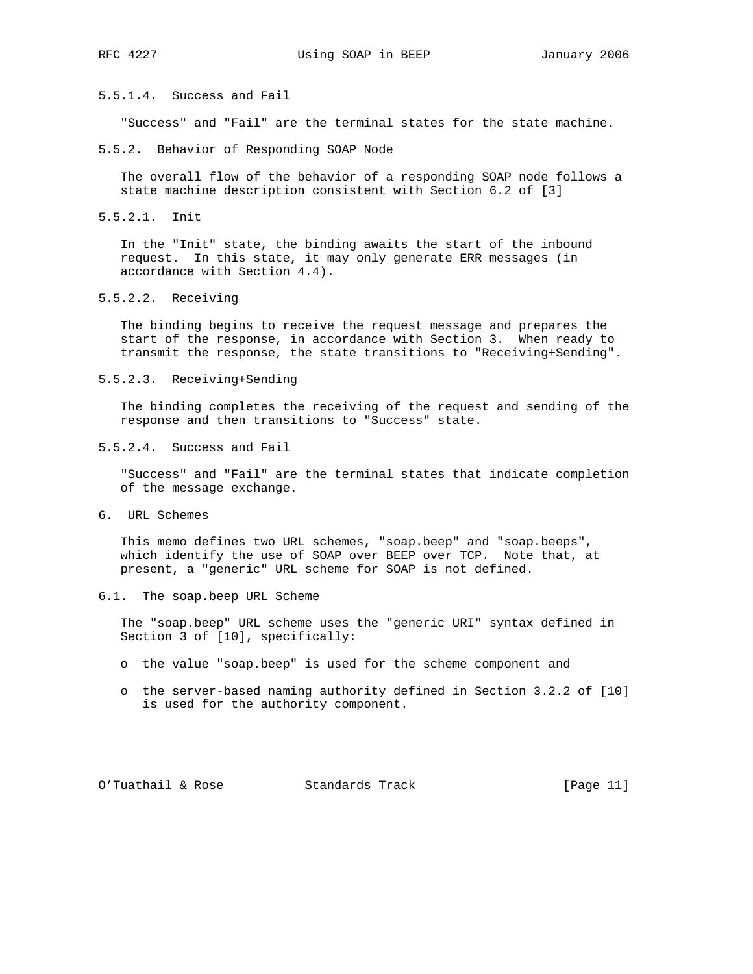# 5.5.1.4. Success and Fail

"Success" and "Fail" are the terminal states for the state machine.

5.5.2. Behavior of Responding SOAP Node

 The overall flow of the behavior of a responding SOAP node follows a state machine description consistent with Section 6.2 of [3]

5.5.2.1. Init

 In the "Init" state, the binding awaits the start of the inbound request. In this state, it may only generate ERR messages (in accordance with Section 4.4).

5.5.2.2. Receiving

 The binding begins to receive the request message and prepares the start of the response, in accordance with Section 3. When ready to transmit the response, the state transitions to "Receiving+Sending".

5.5.2.3. Receiving+Sending

 The binding completes the receiving of the request and sending of the response and then transitions to "Success" state.

5.5.2.4. Success and Fail

 "Success" and "Fail" are the terminal states that indicate completion of the message exchange.

6. URL Schemes

 This memo defines two URL schemes, "soap.beep" and "soap.beeps", which identify the use of SOAP over BEEP over TCP. Note that, at present, a "generic" URL scheme for SOAP is not defined.

6.1. The soap.beep URL Scheme

 The "soap.beep" URL scheme uses the "generic URI" syntax defined in Section 3 of [10], specifically:

- o the value "soap.beep" is used for the scheme component and
- o the server-based naming authority defined in Section 3.2.2 of [10] is used for the authority component.

O'Tuathail & Rose Standards Track [Page 11]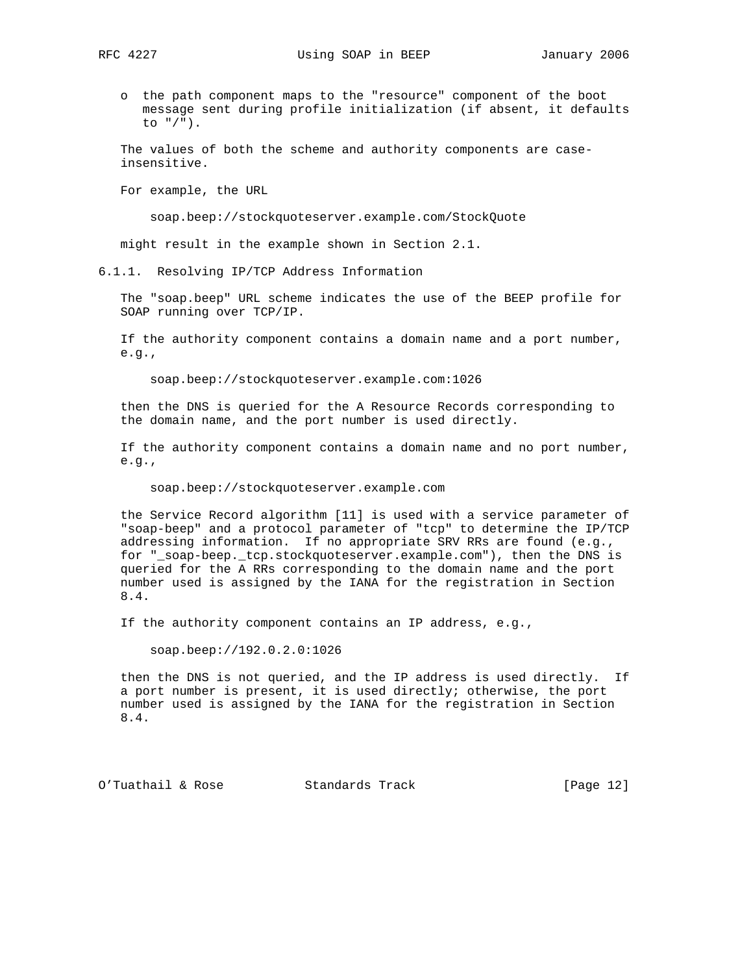- - o the path component maps to the "resource" component of the boot message sent during profile initialization (if absent, it defaults to "/").

 The values of both the scheme and authority components are case insensitive.

For example, the URL

soap.beep://stockquoteserver.example.com/StockQuote

might result in the example shown in Section 2.1.

6.1.1. Resolving IP/TCP Address Information

 The "soap.beep" URL scheme indicates the use of the BEEP profile for SOAP running over TCP/IP.

 If the authority component contains a domain name and a port number,  $e.g.,$ 

soap.beep://stockquoteserver.example.com:1026

 then the DNS is queried for the A Resource Records corresponding to the domain name, and the port number is used directly.

 If the authority component contains a domain name and no port number, e.g.,

soap.beep://stockquoteserver.example.com

 the Service Record algorithm [11] is used with a service parameter of "soap-beep" and a protocol parameter of "tcp" to determine the IP/TCP addressing information. If no appropriate SRV RRs are found (e.g., for "\_soap-beep.\_tcp.stockquoteserver.example.com"), then the DNS is queried for the A RRs corresponding to the domain name and the port number used is assigned by the IANA for the registration in Section 8.4.

If the authority component contains an IP address, e.g.,

soap.beep://192.0.2.0:1026

 then the DNS is not queried, and the IP address is used directly. If a port number is present, it is used directly; otherwise, the port number used is assigned by the IANA for the registration in Section 8.4.

O'Tuathail & Rose Standards Track [Page 12]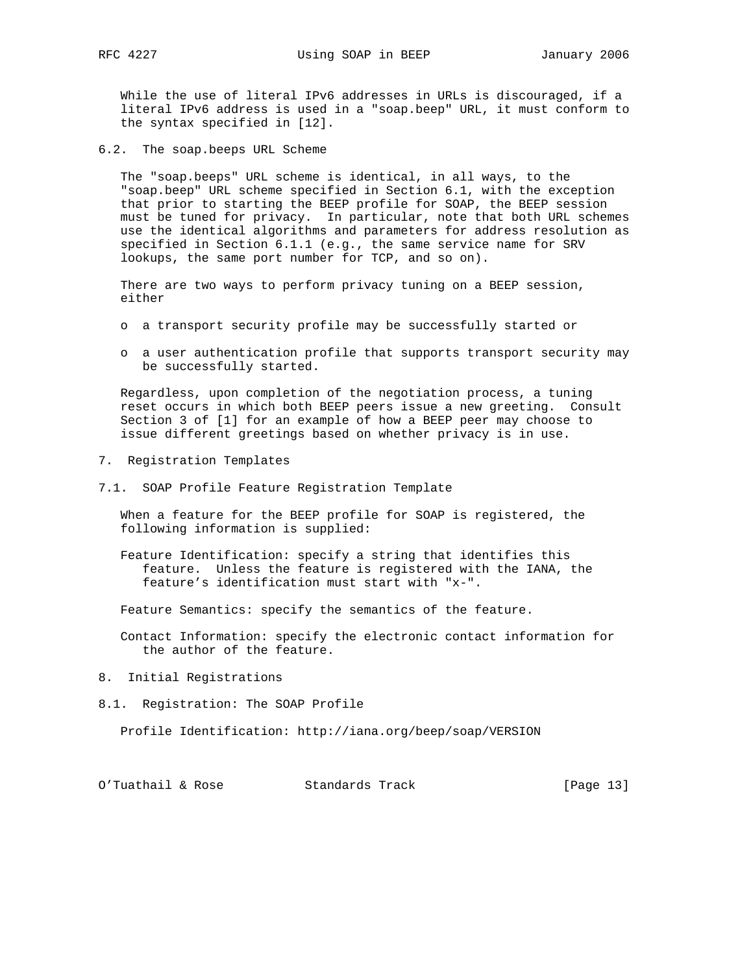While the use of literal IPv6 addresses in URLs is discouraged, if a literal IPv6 address is used in a "soap.beep" URL, it must conform to the syntax specified in [12].

6.2. The soap.beeps URL Scheme

 The "soap.beeps" URL scheme is identical, in all ways, to the "soap.beep" URL scheme specified in Section 6.1, with the exception that prior to starting the BEEP profile for SOAP, the BEEP session must be tuned for privacy. In particular, note that both URL schemes use the identical algorithms and parameters for address resolution as specified in Section 6.1.1 (e.g., the same service name for SRV lookups, the same port number for TCP, and so on).

 There are two ways to perform privacy tuning on a BEEP session, either

- o a transport security profile may be successfully started or
- o a user authentication profile that supports transport security may be successfully started.

 Regardless, upon completion of the negotiation process, a tuning reset occurs in which both BEEP peers issue a new greeting. Consult Section 3 of [1] for an example of how a BEEP peer may choose to issue different greetings based on whether privacy is in use.

- 7. Registration Templates
- 7.1. SOAP Profile Feature Registration Template

 When a feature for the BEEP profile for SOAP is registered, the following information is supplied:

 Feature Identification: specify a string that identifies this feature. Unless the feature is registered with the IANA, the feature's identification must start with "x-".

Feature Semantics: specify the semantics of the feature.

 Contact Information: specify the electronic contact information for the author of the feature.

- 8. Initial Registrations
- 8.1. Registration: The SOAP Profile

Profile Identification: http://iana.org/beep/soap/VERSION

| O'Tuathail & Rose<br>Standards Track | [Page 13] |
|--------------------------------------|-----------|
|--------------------------------------|-----------|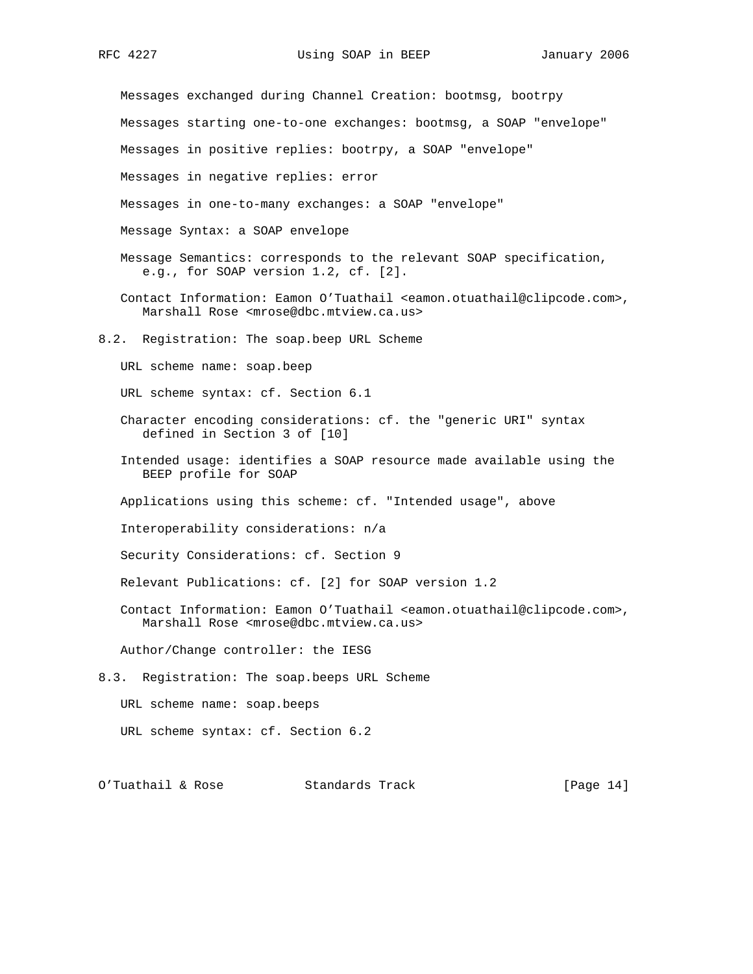Messages exchanged during Channel Creation: bootmsg, bootrpy Messages starting one-to-one exchanges: bootmsg, a SOAP "envelope" Messages in positive replies: bootrpy, a SOAP "envelope" Messages in negative replies: error Messages in one-to-many exchanges: a SOAP "envelope" Message Syntax: a SOAP envelope Message Semantics: corresponds to the relevant SOAP specification, e.g., for SOAP version 1.2, cf. [2]. Contact Information: Eamon O'Tuathail <eamon.otuathail@clipcode.com>, Marshall Rose <mrose@dbc.mtview.ca.us> 8.2. Registration: The soap.beep URL Scheme URL scheme name: soap.beep URL scheme syntax: cf. Section 6.1 Character encoding considerations: cf. the "generic URI" syntax defined in Section 3 of [10]

- Intended usage: identifies a SOAP resource made available using the BEEP profile for SOAP
- Applications using this scheme: cf. "Intended usage", above
- Interoperability considerations: n/a
- Security Considerations: cf. Section 9
- Relevant Publications: cf. [2] for SOAP version 1.2
- Contact Information: Eamon O'Tuathail <eamon.otuathail@clipcode.com>, Marshall Rose <mrose@dbc.mtview.ca.us>

Author/Change controller: the IESG

8.3. Registration: The soap.beeps URL Scheme

URL scheme name: soap.beeps

URL scheme syntax: cf. Section 6.2

O'Tuathail & Rose Standards Track [Page 14]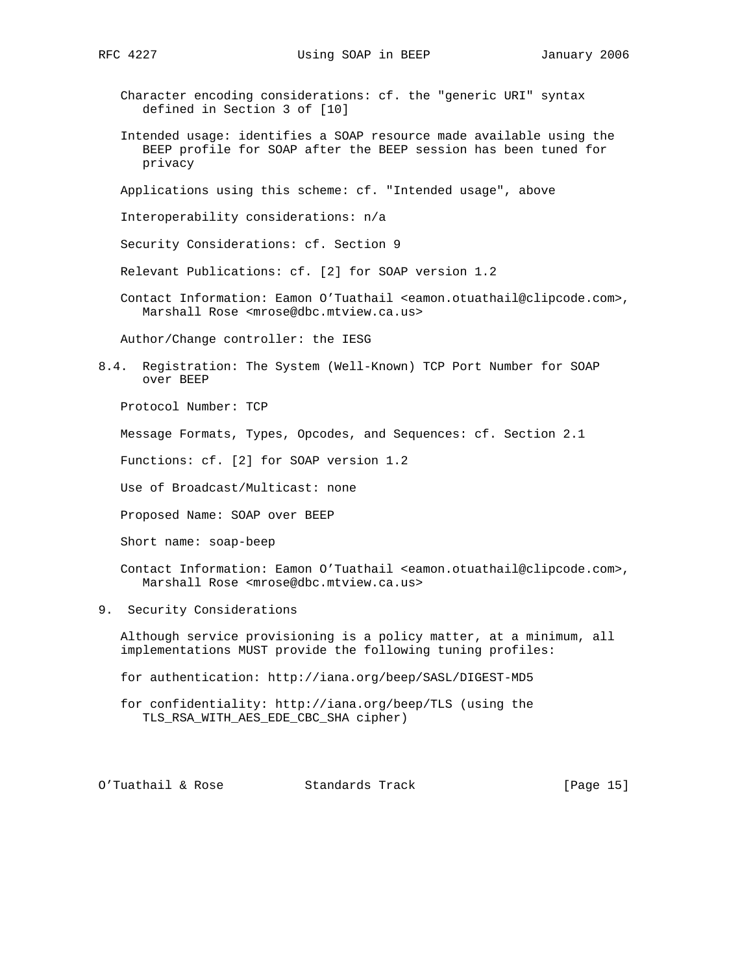- - Character encoding considerations: cf. the "generic URI" syntax defined in Section 3 of [10]
	- Intended usage: identifies a SOAP resource made available using the BEEP profile for SOAP after the BEEP session has been tuned for privacy

Applications using this scheme: cf. "Intended usage", above

Interoperability considerations: n/a

Security Considerations: cf. Section 9

Relevant Publications: cf. [2] for SOAP version 1.2

 Contact Information: Eamon O'Tuathail <eamon.otuathail@clipcode.com>, Marshall Rose <mrose@dbc.mtview.ca.us>

Author/Change controller: the IESG

8.4. Registration: The System (Well-Known) TCP Port Number for SOAP over BEEP

Protocol Number: TCP

Message Formats, Types, Opcodes, and Sequences: cf. Section 2.1

Functions: cf. [2] for SOAP version 1.2

Use of Broadcast/Multicast: none

Proposed Name: SOAP over BEEP

Short name: soap-beep

 Contact Information: Eamon O'Tuathail <eamon.otuathail@clipcode.com>, Marshall Rose <mrose@dbc.mtview.ca.us>

9. Security Considerations

 Although service provisioning is a policy matter, at a minimum, all implementations MUST provide the following tuning profiles:

for authentication: http://iana.org/beep/SASL/DIGEST-MD5

 for confidentiality: http://iana.org/beep/TLS (using the TLS\_RSA\_WITH\_AES\_EDE\_CBC\_SHA cipher)

O'Tuathail & Rose Standards Track [Page 15]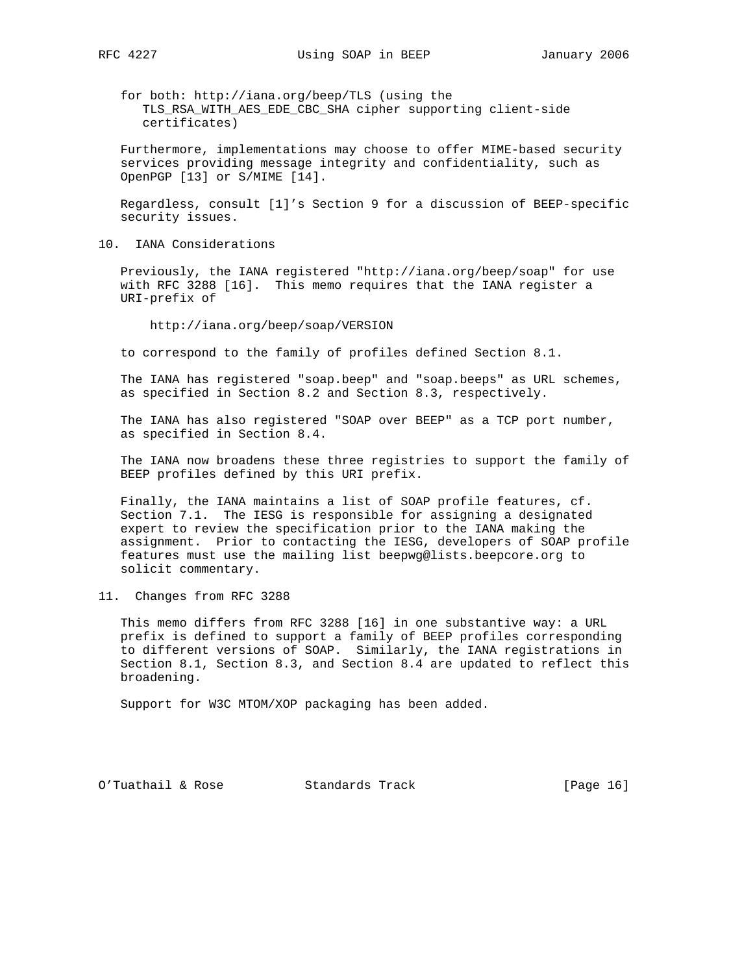for both: http://iana.org/beep/TLS (using the TLS\_RSA\_WITH\_AES\_EDE\_CBC\_SHA cipher supporting client-side certificates)

 Furthermore, implementations may choose to offer MIME-based security services providing message integrity and confidentiality, such as OpenPGP [13] or S/MIME [14].

 Regardless, consult [1]'s Section 9 for a discussion of BEEP-specific security issues.

10. IANA Considerations

 Previously, the IANA registered "http://iana.org/beep/soap" for use with RFC 3288 [16]. This memo requires that the IANA register a URI-prefix of

http://iana.org/beep/soap/VERSION

to correspond to the family of profiles defined Section 8.1.

 The IANA has registered "soap.beep" and "soap.beeps" as URL schemes, as specified in Section 8.2 and Section 8.3, respectively.

 The IANA has also registered "SOAP over BEEP" as a TCP port number, as specified in Section 8.4.

 The IANA now broadens these three registries to support the family of BEEP profiles defined by this URI prefix.

 Finally, the IANA maintains a list of SOAP profile features, cf. Section 7.1. The IESG is responsible for assigning a designated expert to review the specification prior to the IANA making the assignment. Prior to contacting the IESG, developers of SOAP profile features must use the mailing list beepwg@lists.beepcore.org to solicit commentary.

11. Changes from RFC 3288

 This memo differs from RFC 3288 [16] in one substantive way: a URL prefix is defined to support a family of BEEP profiles corresponding to different versions of SOAP. Similarly, the IANA registrations in Section 8.1, Section 8.3, and Section 8.4 are updated to reflect this broadening.

Support for W3C MTOM/XOP packaging has been added.

O'Tuathail & Rose Standards Track [Page 16]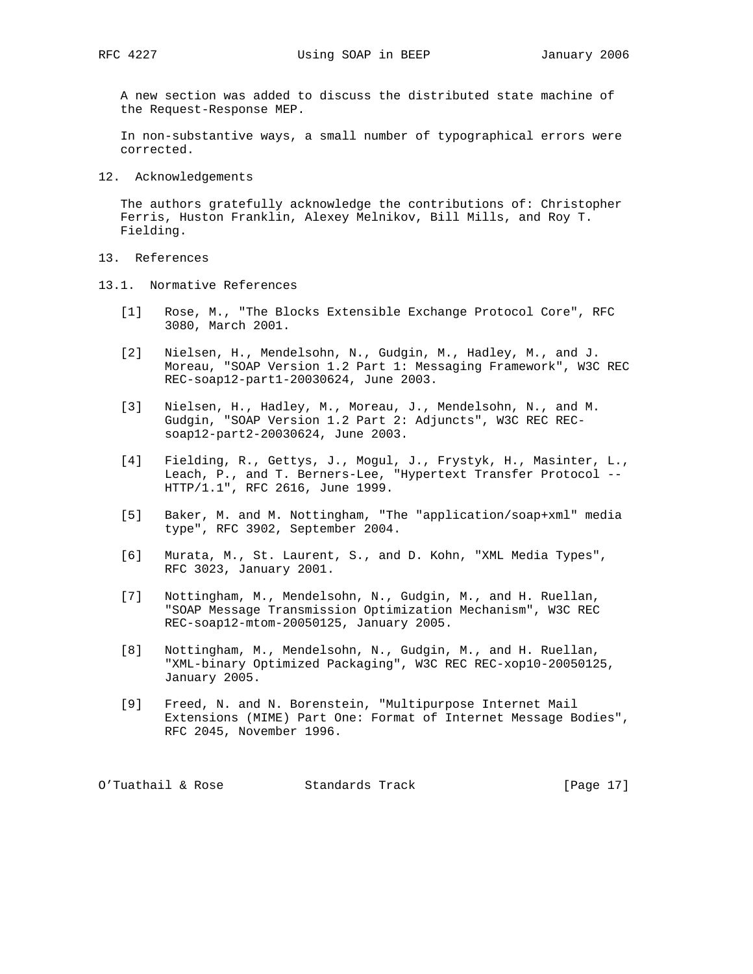A new section was added to discuss the distributed state machine of the Request-Response MEP.

 In non-substantive ways, a small number of typographical errors were corrected.

12. Acknowledgements

 The authors gratefully acknowledge the contributions of: Christopher Ferris, Huston Franklin, Alexey Melnikov, Bill Mills, and Roy T. Fielding.

- 13. References
- 13.1. Normative References
	- [1] Rose, M., "The Blocks Extensible Exchange Protocol Core", RFC 3080, March 2001.
	- [2] Nielsen, H., Mendelsohn, N., Gudgin, M., Hadley, M., and J. Moreau, "SOAP Version 1.2 Part 1: Messaging Framework", W3C REC REC-soap12-part1-20030624, June 2003.
	- [3] Nielsen, H., Hadley, M., Moreau, J., Mendelsohn, N., and M. Gudgin, "SOAP Version 1.2 Part 2: Adjuncts", W3C REC REC soap12-part2-20030624, June 2003.
	- [4] Fielding, R., Gettys, J., Mogul, J., Frystyk, H., Masinter, L., Leach, P., and T. Berners-Lee, "Hypertext Transfer Protocol -- HTTP/1.1", RFC 2616, June 1999.
	- [5] Baker, M. and M. Nottingham, "The "application/soap+xml" media type", RFC 3902, September 2004.
	- [6] Murata, M., St. Laurent, S., and D. Kohn, "XML Media Types", RFC 3023, January 2001.
	- [7] Nottingham, M., Mendelsohn, N., Gudgin, M., and H. Ruellan, "SOAP Message Transmission Optimization Mechanism", W3C REC REC-soap12-mtom-20050125, January 2005.
	- [8] Nottingham, M., Mendelsohn, N., Gudgin, M., and H. Ruellan, "XML-binary Optimized Packaging", W3C REC REC-xop10-20050125, January 2005.
	- [9] Freed, N. and N. Borenstein, "Multipurpose Internet Mail Extensions (MIME) Part One: Format of Internet Message Bodies", RFC 2045, November 1996.

O'Tuathail & Rose Standards Track [Page 17]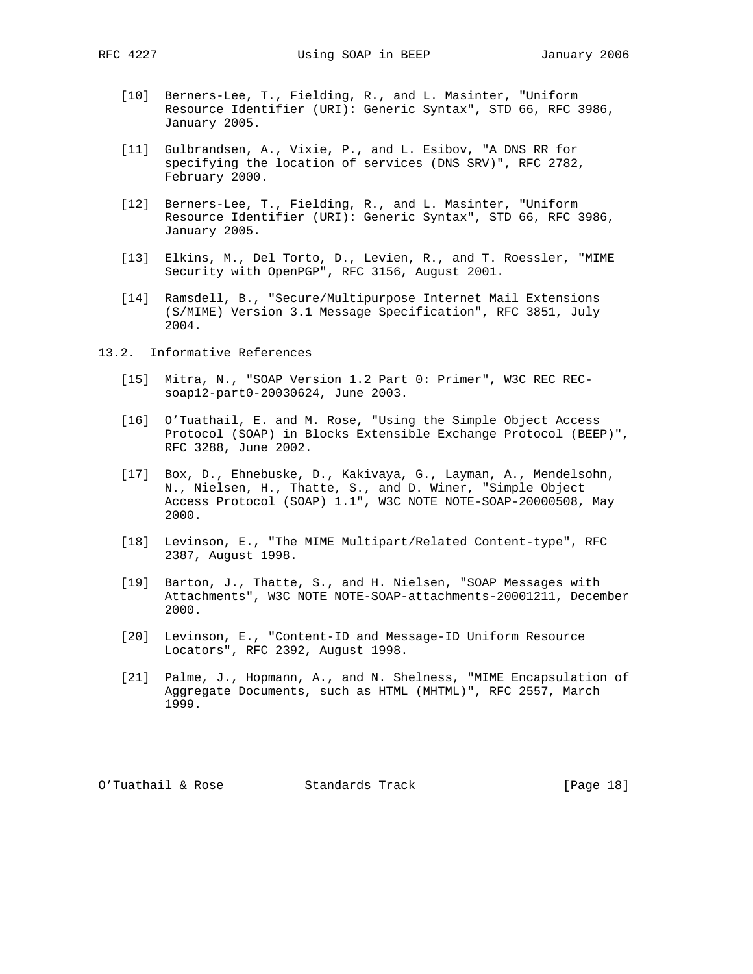- [10] Berners-Lee, T., Fielding, R., and L. Masinter, "Uniform Resource Identifier (URI): Generic Syntax", STD 66, RFC 3986, January 2005.
- [11] Gulbrandsen, A., Vixie, P., and L. Esibov, "A DNS RR for specifying the location of services (DNS SRV)", RFC 2782, February 2000.
- [12] Berners-Lee, T., Fielding, R., and L. Masinter, "Uniform Resource Identifier (URI): Generic Syntax", STD 66, RFC 3986, January 2005.
- [13] Elkins, M., Del Torto, D., Levien, R., and T. Roessler, "MIME Security with OpenPGP", RFC 3156, August 2001.
- [14] Ramsdell, B., "Secure/Multipurpose Internet Mail Extensions (S/MIME) Version 3.1 Message Specification", RFC 3851, July 2004.
- 13.2. Informative References
	- [15] Mitra, N., "SOAP Version 1.2 Part 0: Primer", W3C REC REC soap12-part0-20030624, June 2003.
	- [16] O'Tuathail, E. and M. Rose, "Using the Simple Object Access Protocol (SOAP) in Blocks Extensible Exchange Protocol (BEEP)", RFC 3288, June 2002.
	- [17] Box, D., Ehnebuske, D., Kakivaya, G., Layman, A., Mendelsohn, N., Nielsen, H., Thatte, S., and D. Winer, "Simple Object Access Protocol (SOAP) 1.1", W3C NOTE NOTE-SOAP-20000508, May 2000.
	- [18] Levinson, E., "The MIME Multipart/Related Content-type", RFC 2387, August 1998.
	- [19] Barton, J., Thatte, S., and H. Nielsen, "SOAP Messages with Attachments", W3C NOTE NOTE-SOAP-attachments-20001211, December 2000.
	- [20] Levinson, E., "Content-ID and Message-ID Uniform Resource Locators", RFC 2392, August 1998.
	- [21] Palme, J., Hopmann, A., and N. Shelness, "MIME Encapsulation of Aggregate Documents, such as HTML (MHTML)", RFC 2557, March 1999.

O'Tuathail & Rose Standards Track [Page 18]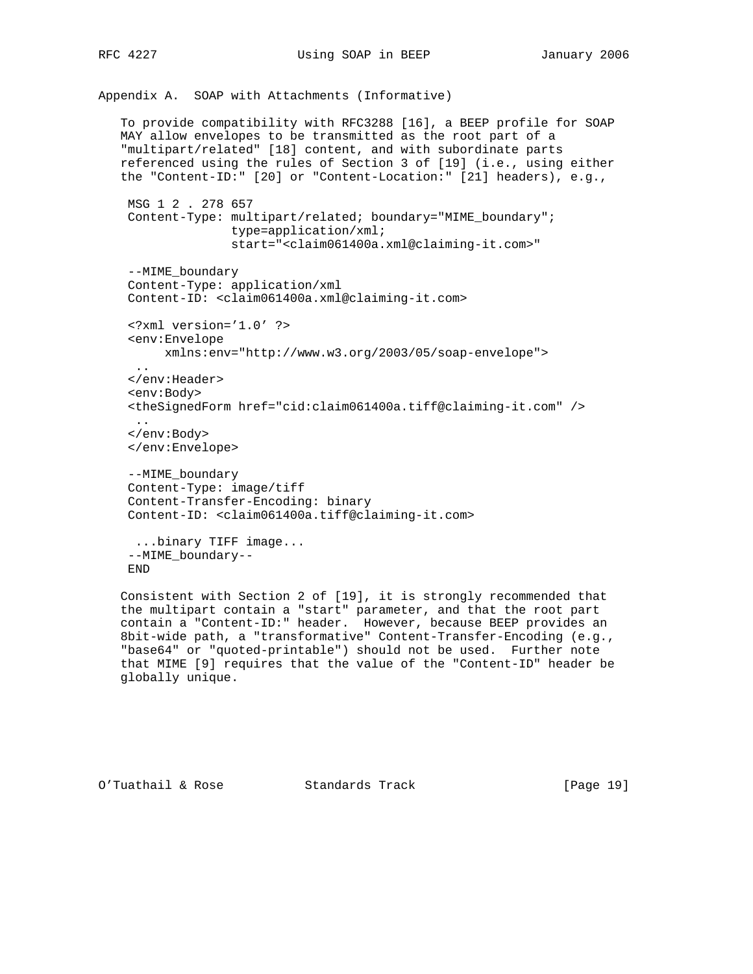RFC 4227 **Using SOAP in BEEP** January 2006

Appendix A. SOAP with Attachments (Informative) To provide compatibility with RFC3288 [16], a BEEP profile for SOAP MAY allow envelopes to be transmitted as the root part of a "multipart/related" [18] content, and with subordinate parts referenced using the rules of Section 3 of [19] (i.e., using either the "Content-ID:" [20] or "Content-Location:" [21] headers), e.g., MSG 1 2 . 278 657 Content-Type: multipart/related; boundary="MIME\_boundary"; type=application/xml; start="<claim061400a.xml@claiming-it.com>" --MIME\_boundary Content-Type: application/xml Content-ID: <claim061400a.xml@claiming-it.com> <?xml version='1.0' ?> <env:Envelope xmlns:env="http://www.w3.org/2003/05/soap-envelope"> .. </env:Header> <env:Body> <theSignedForm href="cid:claim061400a.tiff@claiming-it.com" /> .. </env:Body> </env:Envelope> --MIME\_boundary Content-Type: image/tiff Content-Transfer-Encoding: binary Content-ID: <claim061400a.tiff@claiming-it.com> ...binary TIFF image... --MIME\_boundary-- END Consistent with Section 2 of [19], it is strongly recommended that

 the multipart contain a "start" parameter, and that the root part contain a "Content-ID:" header. However, because BEEP provides an 8bit-wide path, a "transformative" Content-Transfer-Encoding (e.g., "base64" or "quoted-printable") should not be used. Further note that MIME [9] requires that the value of the "Content-ID" header be globally unique.

O'Tuathail & Rose Standards Track [Page 19]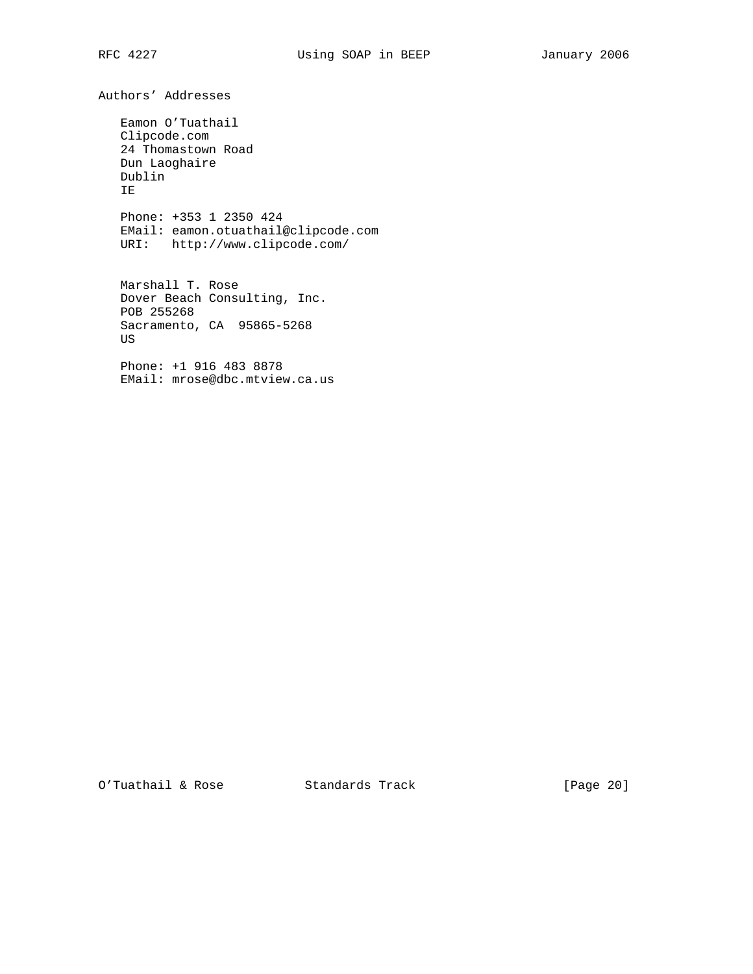Authors' Addresses

 Eamon O'Tuathail Clipcode.com 24 Thomastown Road Dun Laoghaire Dublin IE

 Phone: +353 1 2350 424 EMail: eamon.otuathail@clipcode.com URI: http://www.clipcode.com/

 Marshall T. Rose Dover Beach Consulting, Inc. POB 255268 Sacramento, CA 95865-5268 US

 Phone: +1 916 483 8878 EMail: mrose@dbc.mtview.ca.us